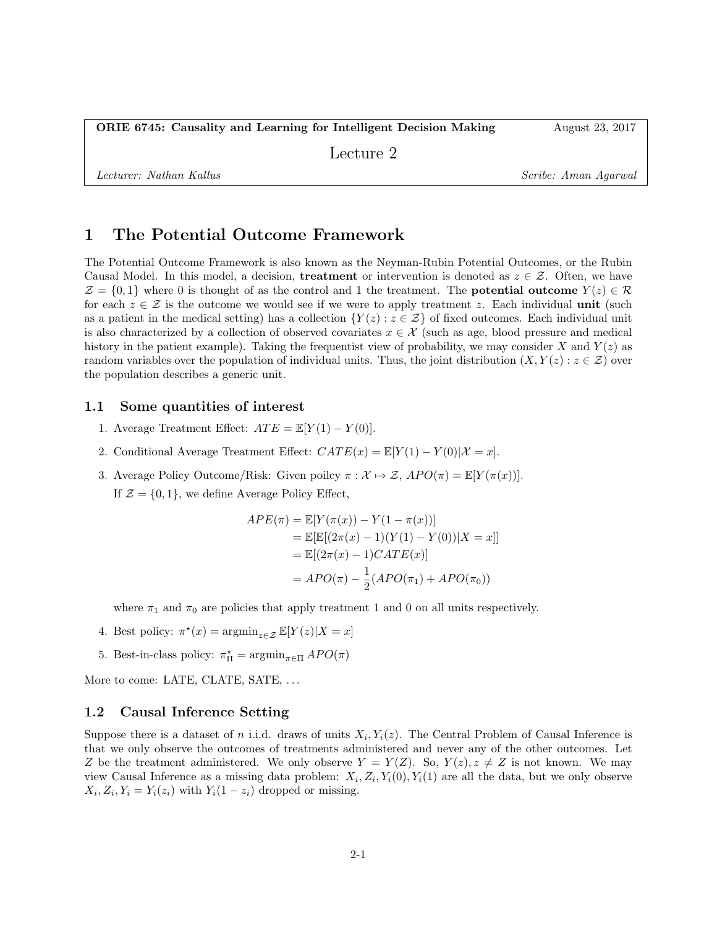## 1 The Potential Outcome Framework

The Potential Outcome Framework is also known as the Neyman-Rubin Potential Outcomes, or the Rubin Causal Model. In this model, a decision, **treatment** or intervention is denoted as  $z \in \mathcal{Z}$ . Often, we have  $\mathcal{Z} = \{0,1\}$  where 0 is thought of as the control and 1 the treatment. The **potential outcome**  $Y(z) \in \mathcal{R}$ for each  $z \in \mathcal{Z}$  is the outcome we would see if we were to apply treatment z. Each individual **unit** (such as a patient in the medical setting) has a collection  $\{Y(z): z \in \mathcal{Z}\}\$  of fixed outcomes. Each individual unit is also characterized by a collection of observed covariates  $x \in \mathcal{X}$  (such as age, blood pressure and medical history in the patient example). Taking the frequentist view of probability, we may consider X and  $Y(z)$  as random variables over the population of individual units. Thus, the joint distribution  $(X, Y(z) : z \in \mathcal{Z})$  over the population describes a generic unit.

#### 1.1 Some quantities of interest

- 1. Average Treatment Effect:  $ATE = \mathbb{E}[Y(1) Y(0)].$
- 2. Conditional Average Treatment Effect:  $CATE(x) = \mathbb{E}[Y(1) Y(0)|X = x]$ .
- 3. Average Policy Outcome/Risk: Given poilcy  $\pi : \mathcal{X} \mapsto \mathcal{Z}, APO(\pi) = \mathbb{E}[Y(\pi(x))].$ If  $\mathcal{Z} = \{0, 1\}$ , we define Average Policy Effect,

$$
APE(\pi) = \mathbb{E}[Y(\pi(x)) - Y(1 - \pi(x))]
$$
  
=  $\mathbb{E}[\mathbb{E}[(2\pi(x) - 1)(Y(1) - Y(0))|X = x]]$   
=  $\mathbb{E}[(2\pi(x) - 1)CATE(x)]$   
=  $APO(\pi) - \frac{1}{2}(APO(\pi_1) + APO(\pi_0))$ 

where  $\pi_1$  and  $\pi_0$  are policies that apply treatment 1 and 0 on all units respectively.

- 4. Best policy:  $\pi^*(x) = \operatorname{argmin}_{z \in \mathcal{Z}} \mathbb{E}[Y(z)|X=x]$
- 5. Best-in-class policy:  $\pi_{\Pi}^{\star} = \operatorname{argmin}_{\pi \in \Pi} APO(\pi)$

More to come: LATE, CLATE, SATE, ...

#### 1.2 Causal Inference Setting

Suppose there is a dataset of n i.i.d. draws of units  $X_i, Y_i(z)$ . The Central Problem of Causal Inference is that we only observe the outcomes of treatments administered and never any of the other outcomes. Let Z be the treatment administered. We only observe  $Y = Y(Z)$ . So,  $Y(z)$ ,  $z \neq Z$  is not known. We may view Causal Inference as a missing data problem:  $X_i, Z_i, Y_i(0), Y_i(1)$  are all the data, but we only observe  $X_i, Z_i, Y_i = Y_i(z_i)$  with  $Y_i(1 - z_i)$  dropped or missing.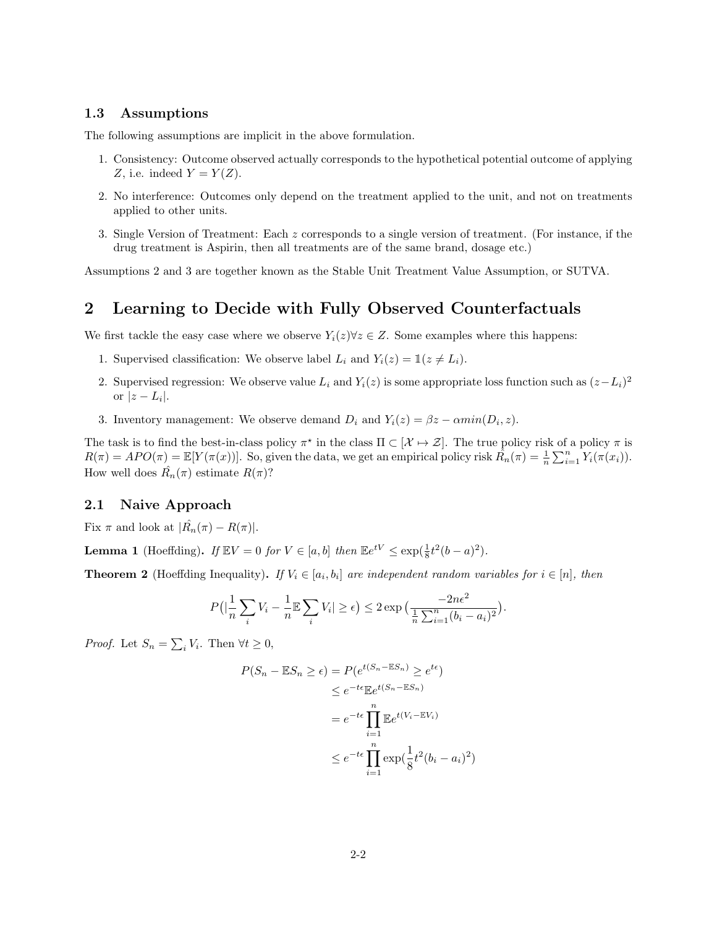#### 1.3 Assumptions

The following assumptions are implicit in the above formulation.

- 1. Consistency: Outcome observed actually corresponds to the hypothetical potential outcome of applying Z, i.e. indeed  $Y = Y(Z)$ .
- 2. No interference: Outcomes only depend on the treatment applied to the unit, and not on treatments applied to other units.
- 3. Single Version of Treatment: Each z corresponds to a single version of treatment. (For instance, if the drug treatment is Aspirin, then all treatments are of the same brand, dosage etc.)

Assumptions 2 and 3 are together known as the Stable Unit Treatment Value Assumption, or SUTVA.

# 2 Learning to Decide with Fully Observed Counterfactuals

We first tackle the easy case where we observe  $Y_i(z) \forall z \in Z$ . Some examples where this happens:

- 1. Supervised classification: We observe label  $L_i$  and  $Y_i(z) = \mathbb{1}(z \neq L_i)$ .
- 2. Supervised regression: We observe value  $L_i$  and  $Y_i(z)$  is some appropriate loss function such as  $(z L_i)^2$ or  $|z-L_i|$ .
- 3. Inventory management: We observe demand  $D_i$  and  $Y_i(z) = \beta z \alpha min(D_i, z)$ .

The task is to find the best-in-class policy  $\pi^*$  in the class  $\Pi \subset [\mathcal{X} \mapsto \mathcal{Z}]$ . The true policy risk of a policy  $\pi$  is  $R(\pi) = APO(\pi) = \mathbb{E}[Y(\pi(x))].$  So, given the data, we get an empirical policy risk  $\hat{R_n}(\pi) = \frac{1}{n} \sum_{i=1}^n Y_i(\pi(x_i)).$ How well does  $\hat{R_n}(\pi)$  estimate  $R(\pi)$ ?

### 2.1 Naive Approach

Fix  $\pi$  and look at  $|\hat{R_n}(\pi) - R(\pi)|$ .

**Lemma 1** (Hoeffding). If  $\mathbb{E}V = 0$  for  $V \in [a, b]$  then  $\mathbb{E}e^{tV} \leq \exp(\frac{1}{8}t^2(b-a)^2)$ .

**Theorem 2** (Hoeffding Inequality). If  $V_i \in [a_i, b_i]$  are independent random variables for  $i \in [n]$ , then

$$
P\left(|\frac{1}{n}\sum_{i}V_i - \frac{1}{n}\mathbb{E}\sum_{i}V_i| \geq \epsilon\right) \leq 2\exp\left(\frac{-2n\epsilon^2}{\frac{1}{n}\sum_{i=1}^n(b_i - a_i)^2}\right).
$$

*Proof.* Let  $S_n = \sum_i V_i$ . Then  $\forall t \geq 0$ ,

$$
P(S_n - \mathbb{E}S_n \ge \epsilon) = P(e^{t(S_n - \mathbb{E}S_n)} \ge e^{t\epsilon})
$$
  
\n
$$
\le e^{-t\epsilon} \mathbb{E}e^{t(S_n - \mathbb{E}S_n)}
$$
  
\n
$$
= e^{-t\epsilon} \prod_{i=1}^n \mathbb{E}e^{t(V_i - \mathbb{E}V_i)}
$$
  
\n
$$
\le e^{-t\epsilon} \prod_{i=1}^n \exp(\frac{1}{8}t^2(b_i - a_i)^2)
$$